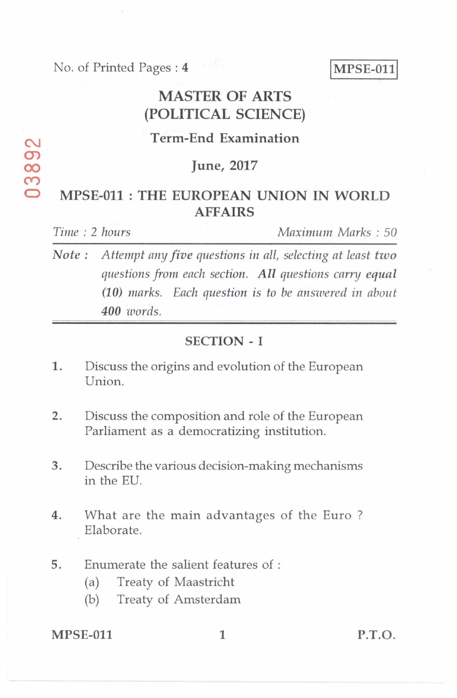No. of Printed Pages : 4 MPSE-011

# **MASTER OF ARTS (POLITICAL SCIENCE)**

# **Term-End Examination**

## **00 June, 2017**

## **MPSE-011 : THE EUROPEAN UNION IN WORLD AFFAIRS**

*Time : 2 hours Maximum Marks : 50* 

*Note : Attempt any five questions in all, selecting at least two questions from each section. All questions carry equal (10) marks. Each question is to he answered in about 400 words.* 

### SECTION - I

- 1. Discuss the origins and evolution of the European Union.
- 2. Discuss the composition and role of the European Parliament as a democratizing institution.
- 3. Describe the various decision-making mechanisms in the EU.
- 4. What are the main advantages of the Euro ? Elaborate.
- 5. Enumerate the salient features of :
	- (a) Treaty of Maastricht
	- (b) Treaty of Amsterdam

MPSE-011 1 P.T.O.

 $\sigma$ **cr)**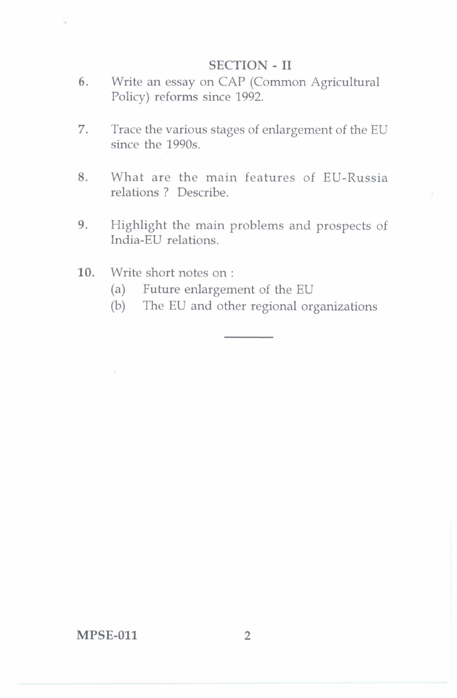#### SECTION - II

- 6. Write an essay on CAP (Common Agricultural Policy) reforms since 1992.
- 7. Trace the various stages of enlargement of the EU since the 1990s.
- 8. What are the main features of EU-Russia relations ? Describe.
- 9. Highlight the main problems and prospects of India-EU relations.
- 10. Write short notes on :
	- (a) Future enlargement of the EU
	- (b) The EU and other regional organizations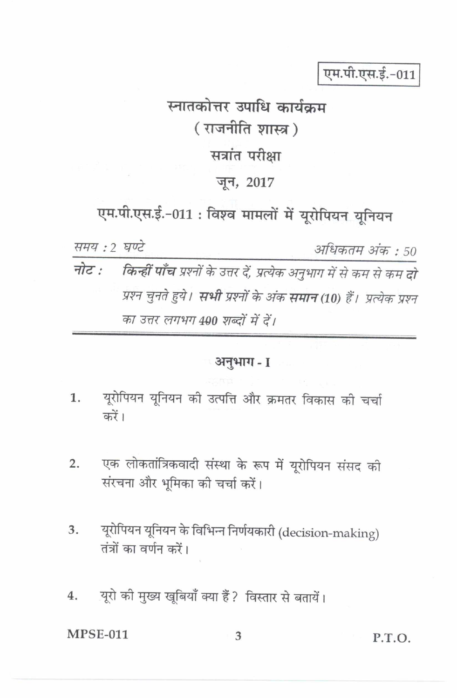एम.पी.एस.ई.-011

# स्नातकोत्तर उपाधि कार्यक्रम (राजनीति शास्त्र) सत्रांत परीक्षा जन, 2017

एम.पी.एस.ई.-011: विश्व मामलों में यूरोपियन यूनियन

समय: 2 घण्टे अधिकतम अंक : 50 किन्हीं पाँच प्रश्नों के उत्तर दें, प्रत्येक अनुभाग में से कम से कम दो नोट : प्रश्न चुनते हुये। **सभी** प्रश्नों के अंक **समान** (10) हैं। प्रत्येक प्रश्न का उत्तर लगभग 490 शब्दों में दें।

#### ंअनुभाग - I

- यूरोपियन यूनियन की उत्पत्ति और क्रमतर विकास की चर्चा 1. करें।
- एक लोकतांत्रिकवादी संस्था के रूप में यूरोपियन संसद की  $2.$ संरचना और भूमिका की चर्चा करें।
- यूरोपियन यूनियन के विभिन्न निर्णयकारी (decision-making) 3. तंत्रों का वर्णन करें।
- यूरो की मुख्य खूबियाँ क्या हैं ? विस्तार से बतायें। 4.

**MPSE-011**